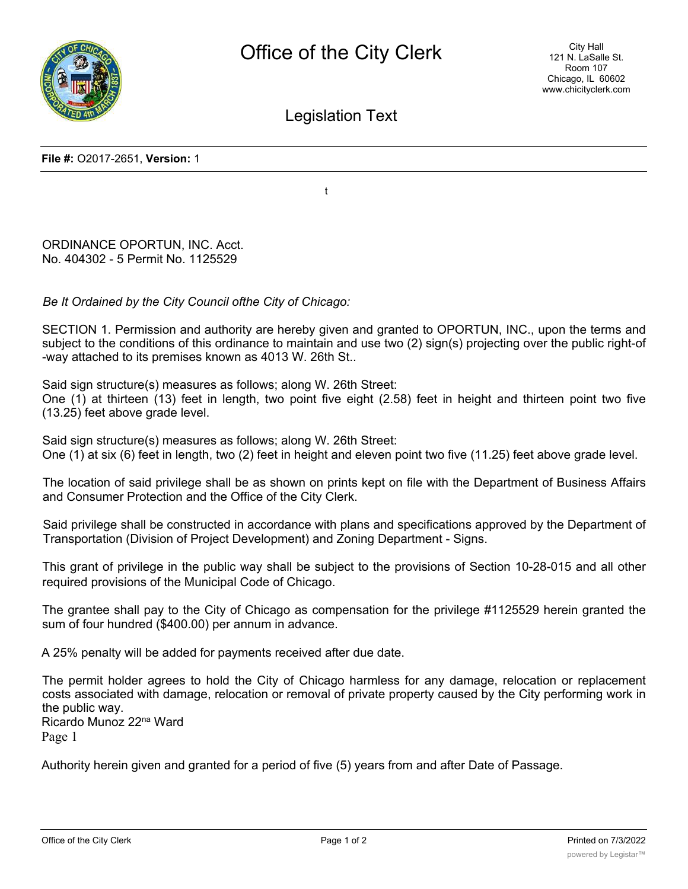

Legislation Text

**File #:** O2017-2651, **Version:** 1

t

ORDINANCE OPORTUN, INC. Acct. No. 404302 - 5 Permit No. 1125529

*Be It Ordained by the City Council ofthe City of Chicago:*

SECTION 1. Permission and authority are hereby given and granted to OPORTUN, INC., upon the terms and subject to the conditions of this ordinance to maintain and use two (2) sign(s) projecting over the public right-of -way attached to its premises known as 4013 W. 26th St..

Said sign structure(s) measures as follows; along W. 26th Street:

One (1) at thirteen (13) feet in length, two point five eight (2.58) feet in height and thirteen point two five (13.25) feet above grade level.

Said sign structure(s) measures as follows; along W. 26th Street: One (1) at six (6) feet in length, two (2) feet in height and eleven point two five (11.25) feet above grade level.

The location of said privilege shall be as shown on prints kept on file with the Department of Business Affairs and Consumer Protection and the Office of the City Clerk.

Said privilege shall be constructed in accordance with plans and specifications approved by the Department of Transportation (Division of Project Development) and Zoning Department - Signs.

This grant of privilege in the public way shall be subject to the provisions of Section 10-28-015 and all other required provisions of the Municipal Code of Chicago.

The grantee shall pay to the City of Chicago as compensation for the privilege #1125529 herein granted the sum of four hundred (\$400.00) per annum in advance.

A 25% penalty will be added for payments received after due date.

The permit holder agrees to hold the City of Chicago harmless for any damage, relocation or replacement costs associated with damage, relocation or removal of private property caused by the City performing work in the public way. Ricardo Munoz 22na Ward

Page 1

Authority herein given and granted for a period of five (5) years from and after Date of Passage.